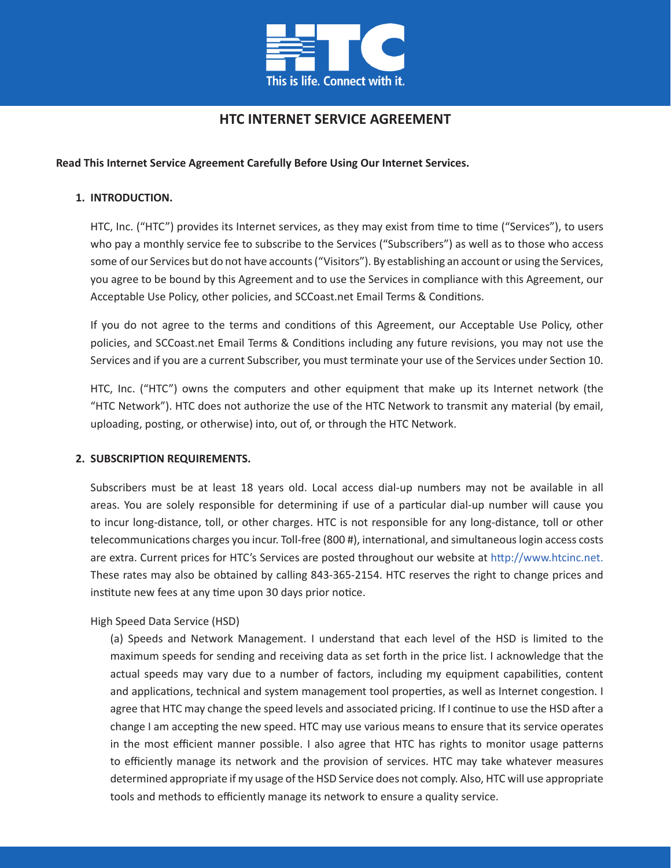

# **HTC INTERNET SERVICE AGREEMENT**

# **Read This Internet Service Agreement Carefully Before Using Our Internet Services.**

# **1. INTRODUCTION.**

HTC, Inc. ("HTC") provides its Internet services, as they may exist from time to time ("Services"), to users who pay a monthly service fee to subscribe to the Services ("Subscribers") as well as to those who access some of our Services but do not have accounts ("Visitors"). By establishing an account or using the Services, you agree to be bound by this Agreement and to use the Services in compliance with this Agreement, our Acceptable Use Policy, other policies, and SCCoast.net Email Terms & Conditions.

If you do not agree to the terms and conditions of this Agreement, our Acceptable Use Policy, other policies, and SCCoast.net Email Terms & Conditions including any future revisions, you may not use the Services and if you are a current Subscriber, you must terminate your use of the Services under Section 10.

HTC, Inc. ("HTC") owns the computers and other equipment that make up its Internet network (the "HTC Network"). HTC does not authorize the use of the HTC Network to transmit any material (by email, uploading, posting, or otherwise) into, out of, or through the HTC Network.

### **2. SUBSCRIPTION REQUIREMENTS.**

Subscribers must be at least 18 years old. Local access dial-up numbers may not be available in all areas. You are solely responsible for determining if use of a particular dial-up number will cause you to incur long-distance, toll, or other charges. HTC is not responsible for any long-distance, toll or other telecommunications charges you incur. Toll-free (800 #), international, and simultaneous login access costs are extra. Current prices for HTC's Services are posted throughout our website at http://www.htcinc.net. These rates may also be obtained by calling 843-365-2154. HTC reserves the right to change prices and institute new fees at any time upon 30 days prior notice.

### High Speed Data Service (HSD)

(a) Speeds and Network Management. I understand that each level of the HSD is limited to the maximum speeds for sending and receiving data as set forth in the price list. I acknowledge that the actual speeds may vary due to a number of factors, including my equipment capabilities, content and applications, technical and system management tool properties, as well as Internet congestion. I agree that HTC may change the speed levels and associated pricing. If I continue to use the HSD after a change I am accepting the new speed. HTC may use various means to ensure that its service operates in the most efficient manner possible. I also agree that HTC has rights to monitor usage patterns to efficiently manage its network and the provision of services. HTC may take whatever measures determined appropriate if my usage of the HSD Service does not comply. Also, HTC will use appropriate tools and methods to efficiently manage its network to ensure a quality service.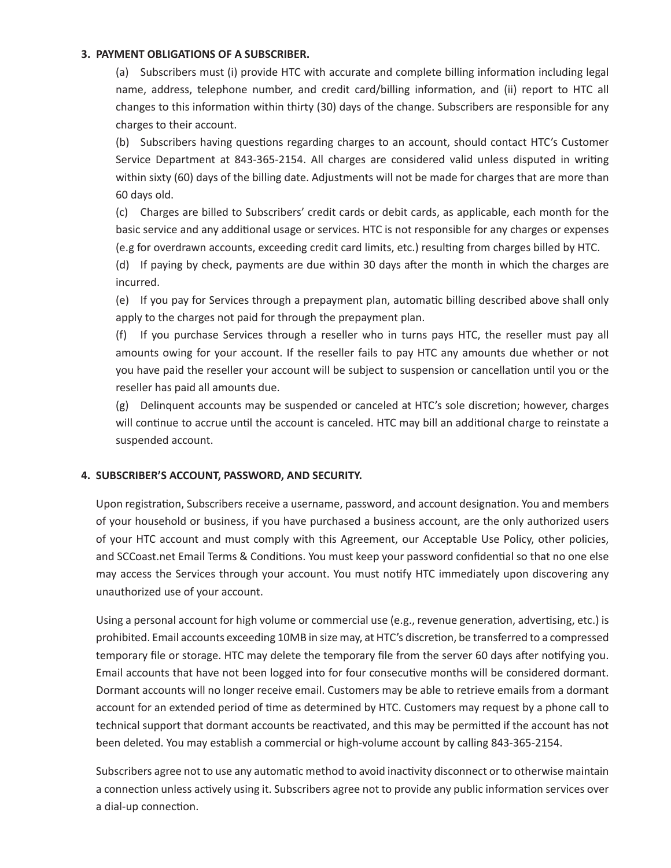### **3. PAYMENT OBLIGATIONS OF A SUBSCRIBER.**

(a) Subscribers must (i) provide HTC with accurate and complete billing information including legal name, address, telephone number, and credit card/billing information, and (ii) report to HTC all changes to this information within thirty (30) days of the change. Subscribers are responsible for any charges to their account.

(b) Subscribers having questions regarding charges to an account, should contact HTC's Customer Service Department at 843-365-2154. All charges are considered valid unless disputed in writing within sixty (60) days of the billing date. Adjustments will not be made for charges that are more than 60 days old.

(c) Charges are billed to Subscribers' credit cards or debit cards, as applicable, each month for the basic service and any additional usage or services. HTC is not responsible for any charges or expenses (e.g for overdrawn accounts, exceeding credit card limits, etc.) resulting from charges billed by HTC.

(d) If paying by check, payments are due within 30 days after the month in which the charges are incurred.

(e) If you pay for Services through a prepayment plan, automatic billing described above shall only apply to the charges not paid for through the prepayment plan.

(f) If you purchase Services through a reseller who in turns pays HTC, the reseller must pay all amounts owing for your account. If the reseller fails to pay HTC any amounts due whether or not you have paid the reseller your account will be subject to suspension or cancellation until you or the reseller has paid all amounts due.

(g) Delinquent accounts may be suspended or canceled at HTC's sole discretion; however, charges will continue to accrue until the account is canceled. HTC may bill an additional charge to reinstate a suspended account.

### **4. SUBSCRIBER'S ACCOUNT, PASSWORD, AND SECURITY.**

Upon registration, Subscribers receive a username, password, and account designation. You and members of your household or business, if you have purchased a business account, are the only authorized users of your HTC account and must comply with this Agreement, our Acceptable Use Policy, other policies, and SCCoast.net Email Terms & Conditions. You must keep your password confidential so that no one else may access the Services through your account. You must notify HTC immediately upon discovering any unauthorized use of your account.

Using a personal account for high volume or commercial use (e.g., revenue generation, advertising, etc.) is prohibited. Email accounts exceeding 10MB in size may, at HTC's discretion, be transferred to a compressed temporary file or storage. HTC may delete the temporary file from the server 60 days after notifying you. Email accounts that have not been logged into for four consecutive months will be considered dormant. Dormant accounts will no longer receive email. Customers may be able to retrieve emails from a dormant account for an extended period of time as determined by HTC. Customers may request by a phone call to technical support that dormant accounts be reactivated, and this may be permitted if the account has not been deleted. You may establish a commercial or high-volume account by calling 843-365-2154.

Subscribers agree not to use any automatic method to avoid inactivity disconnect or to otherwise maintain a connection unless actively using it. Subscribers agree not to provide any public information services over a dial-up connection.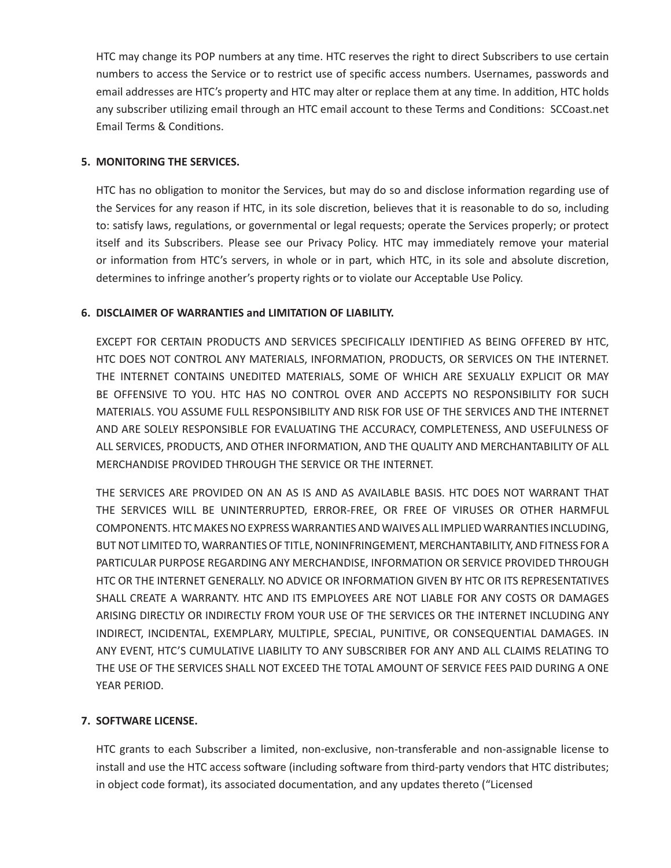HTC may change its POP numbers at any time. HTC reserves the right to direct Subscribers to use certain numbers to access the Service or to restrict use of specific access numbers. Usernames, passwords and email addresses are HTC's property and HTC may alter or replace them at any time. In addition, HTC holds any subscriber utilizing email through an HTC email account to these Terms and Conditions: SCCoast.net Email Terms & Conditions.

# **5. MONITORING THE SERVICES.**

HTC has no obligation to monitor the Services, but may do so and disclose information regarding use of the Services for any reason if HTC, in its sole discretion, believes that it is reasonable to do so, including to: satisfy laws, regulations, or governmental or legal requests; operate the Services properly; or protect itself and its Subscribers. Please see our Privacy Policy. HTC may immediately remove your material or information from HTC's servers, in whole or in part, which HTC, in its sole and absolute discretion, determines to infringe another's property rights or to violate our Acceptable Use Policy.

# **6. DISCLAIMER OF WARRANTIES and LIMITATION OF LIABILITY.**

EXCEPT FOR CERTAIN PRODUCTS AND SERVICES SPECIFICALLY IDENTIFIED AS BEING OFFERED BY HTC, HTC DOES NOT CONTROL ANY MATERIALS, INFORMATION, PRODUCTS, OR SERVICES ON THE INTERNET. THE INTERNET CONTAINS UNEDITED MATERIALS, SOME OF WHICH ARE SEXUALLY EXPLICIT OR MAY BE OFFENSIVE TO YOU. HTC HAS NO CONTROL OVER AND ACCEPTS NO RESPONSIBILITY FOR SUCH MATERIALS. YOU ASSUME FULL RESPONSIBILITY AND RISK FOR USE OF THE SERVICES AND THE INTERNET AND ARE SOLELY RESPONSIBLE FOR EVALUATING THE ACCURACY, COMPLETENESS, AND USEFULNESS OF ALL SERVICES, PRODUCTS, AND OTHER INFORMATION, AND THE QUALITY AND MERCHANTABILITY OF ALL MERCHANDISE PROVIDED THROUGH THE SERVICE OR THE INTERNET.

THE SERVICES ARE PROVIDED ON AN AS IS AND AS AVAILABLE BASIS. HTC DOES NOT WARRANT THAT THE SERVICES WILL BE UNINTERRUPTED, ERROR-FREE, OR FREE OF VIRUSES OR OTHER HARMFUL COMPONENTS. HTC MAKES NO EXPRESS WARRANTIES AND WAIVES ALL IMPLIED WARRANTIES INCLUDING, BUT NOT LIMITED TO, WARRANTIES OF TITLE, NONINFRINGEMENT, MERCHANTABILITY, AND FITNESS FOR A PARTICULAR PURPOSE REGARDING ANY MERCHANDISE, INFORMATION OR SERVICE PROVIDED THROUGH HTC OR THE INTERNET GENERALLY. NO ADVICE OR INFORMATION GIVEN BY HTC OR ITS REPRESENTATIVES SHALL CREATE A WARRANTY. HTC AND ITS EMPLOYEES ARE NOT LIABLE FOR ANY COSTS OR DAMAGES ARISING DIRECTLY OR INDIRECTLY FROM YOUR USE OF THE SERVICES OR THE INTERNET INCLUDING ANY INDIRECT, INCIDENTAL, EXEMPLARY, MULTIPLE, SPECIAL, PUNITIVE, OR CONSEQUENTIAL DAMAGES. IN ANY EVENT, HTC'S CUMULATIVE LIABILITY TO ANY SUBSCRIBER FOR ANY AND ALL CLAIMS RELATING TO THE USE OF THE SERVICES SHALL NOT EXCEED THE TOTAL AMOUNT OF SERVICE FEES PAID DURING A ONE YEAR PERIOD.

# **7. SOFTWARE LICENSE.**

HTC grants to each Subscriber a limited, non-exclusive, non-transferable and non-assignable license to install and use the HTC access software (including software from third-party vendors that HTC distributes; in object code format), its associated documentation, and any updates thereto ("Licensed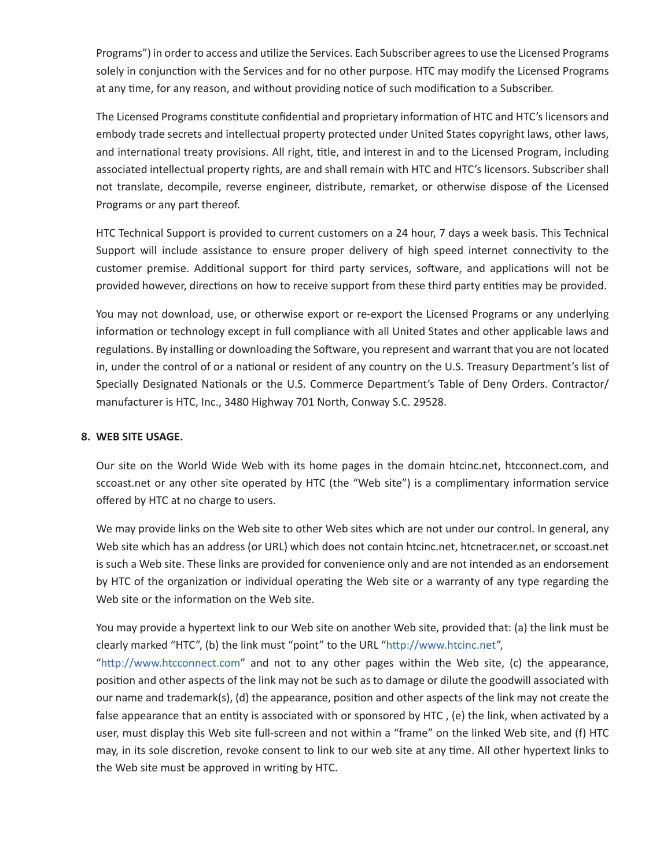Programs") in order to access and utilize the Services. Each Subscriber agrees to use the Licensed Programs solely in conjunction with the Services and for no other purpose. HTC may modify the Licensed Programs at any time, for any reason, and without providing notice of such modification to a Subscriber.

The Licensed Programs constitute confidential and proprietary information of HTC and HTC's licensors and embody trade secrets and intellectual property protected under United States copyright laws, other laws, and international treaty provisions. All right, title, and interest in and to the Licensed Program, including associated intellectual property rights, are and shall remain with HTC and HTC's licensors. Subscriber shall not translate, decompile, reverse engineer, distribute, remarket, or otherwise dispose of the Licensed Programs or any part thereof.

HTC Technical Support is provided to current customers on a 24 hour, 7 days a week basis. This Technical Support will include assistance to ensure proper delivery of high speed internet connectivity to the customer premise. Additional support for third party services, software, and applications will not be provided however, directions on how to receive support from these third party entities may be provided.

You may not download, use, or otherwise export or re-export the Licensed Programs or any underlying information or technology except in full compliance with all United States and other applicable laws and regulations. By installing or downloading the Software, you represent and warrant that you are not located in, under the control of or a national or resident of any country on the U.S. Treasury Department's list of Specially Designated Nationals or the U.S. Commerce Department's Table of Deny Orders. Contractor/ manufacturer is HTC, Inc., 3480 Highway 701 North, Conway S.C. 29528.

### **8. WEB SITE USAGE.**

Our site on the World Wide Web with its home pages in the domain htcinc.net, htcconnect.com, and sccoast.net or any other site operated by HTC (the "Web site") is a complimentary information service offered by HTC at no charge to users.

We may provide links on the Web site to other Web sites which are not under our control. In general, any Web site which has an address (or URL) which does not contain htcinc.net, htcnetracer.net, or sccoast.net is such a Web site. These links are provided for convenience only and are not intended as an endorsement by HTC of the organization or individual operating the Web site or a warranty of any type regarding the Web site or the information on the Web site.

You may provide a hypertext link to our Web site on another Web site, provided that: (a) the link must be clearly marked "HTC", (b) the link must "point" to the URL "http://www.htcinc.net",

"http://www.htcconnect.com" and not to any other pages within the Web site, (c) the appearance, position and other aspects of the link may not be such as to damage or dilute the goodwill associated with our name and trademark(s), (d) the appearance, position and other aspects of the link may not create the false appearance that an entity is associated with or sponsored by HTC , (e) the link, when activated by a user, must display this Web site full-screen and not within a "frame" on the linked Web site, and (f) HTC may, in its sole discretion, revoke consent to link to our web site at any time. All other hypertext links to the Web site must be approved in writing by HTC.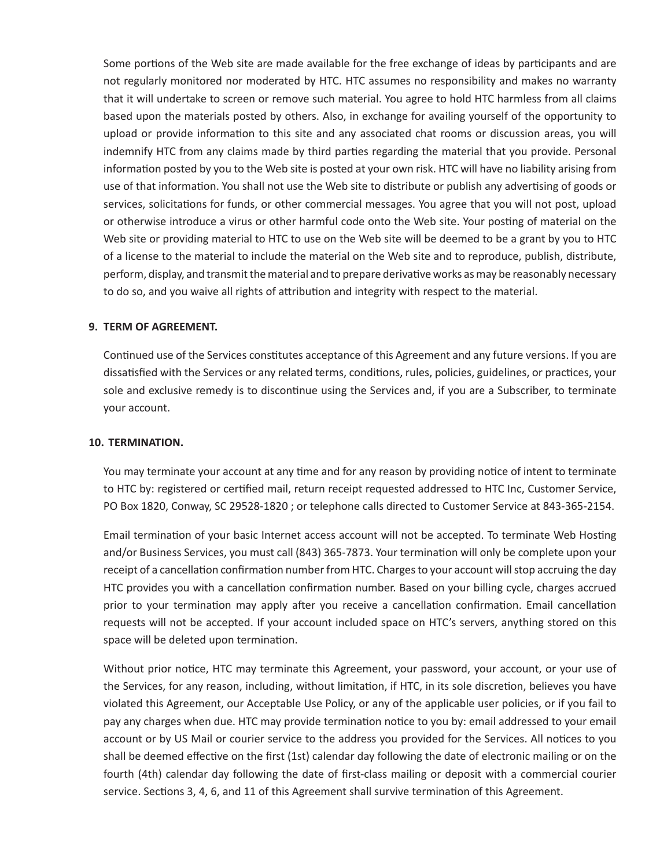Some portions of the Web site are made available for the free exchange of ideas by participants and are not regularly monitored nor moderated by HTC. HTC assumes no responsibility and makes no warranty that it will undertake to screen or remove such material. You agree to hold HTC harmless from all claims based upon the materials posted by others. Also, in exchange for availing yourself of the opportunity to upload or provide information to this site and any associated chat rooms or discussion areas, you will indemnify HTC from any claims made by third parties regarding the material that you provide. Personal information posted by you to the Web site is posted at your own risk. HTC will have no liability arising from use of that information. You shall not use the Web site to distribute or publish any advertising of goods or services, solicitations for funds, or other commercial messages. You agree that you will not post, upload or otherwise introduce a virus or other harmful code onto the Web site. Your posting of material on the Web site or providing material to HTC to use on the Web site will be deemed to be a grant by you to HTC of a license to the material to include the material on the Web site and to reproduce, publish, distribute, perform, display, and transmit the material and to prepare derivative works as may be reasonably necessary to do so, and you waive all rights of attribution and integrity with respect to the material.

### **9. TERM OF AGREEMENT.**

Continued use of the Services constitutes acceptance of this Agreement and any future versions. If you are dissatisfied with the Services or any related terms, conditions, rules, policies, guidelines, or practices, your sole and exclusive remedy is to discontinue using the Services and, if you are a Subscriber, to terminate your account.

### **10. TERMINATION.**

You may terminate your account at any time and for any reason by providing notice of intent to terminate to HTC by: registered or certified mail, return receipt requested addressed to HTC Inc, Customer Service, PO Box 1820, Conway, SC 29528-1820 ; or telephone calls directed to Customer Service at 843-365-2154.

Email termination of your basic Internet access account will not be accepted. To terminate Web Hosting and/or Business Services, you must call (843) 365-7873. Your termination will only be complete upon your receipt of a cancellation confirmation number from HTC. Charges to your account will stop accruing the day HTC provides you with a cancellation confirmation number. Based on your billing cycle, charges accrued prior to your termination may apply after you receive a cancellation confirmation. Email cancellation requests will not be accepted. If your account included space on HTC's servers, anything stored on this space will be deleted upon termination.

Without prior notice, HTC may terminate this Agreement, your password, your account, or your use of the Services, for any reason, including, without limitation, if HTC, in its sole discretion, believes you have violated this Agreement, our Acceptable Use Policy, or any of the applicable user policies, or if you fail to pay any charges when due. HTC may provide termination notice to you by: email addressed to your email account or by US Mail or courier service to the address you provided for the Services. All notices to you shall be deemed effective on the first (1st) calendar day following the date of electronic mailing or on the fourth (4th) calendar day following the date of first-class mailing or deposit with a commercial courier service. Sections 3, 4, 6, and 11 of this Agreement shall survive termination of this Agreement.